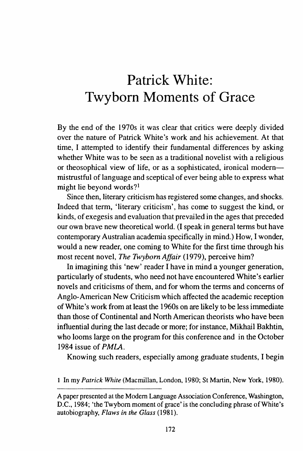## **Patrick White: Twyborn Moments of Grace**

By the end of the 1970s it was clear that critics were deeply divided over the nature of Patrick White's work and his achievement. At that time, I attempted to identify their fundamental differences by asking whether White was to be seen as a traditional novelist with a religious or theosophical view of life, or as a sophisticated, ironical modernmistrustful of language and sceptical of ever being able to express what might lie beyond words?1

Since then, literary criticism has registered some changes, and shocks. Indeed that term, 'literary criticism', has come to suggest the kind, or kinds, of exegesis and evaluation that prevailed in the ages that preceded our own brave new theoretical world. (I speak in general terms but have contemporary Australian academia specifically in mind.) How, I wonder, would a new reader, one coming to White for the first time through his most recent novel, *The Twyborn Affair* (1979), perceive him?

In imagining this 'new' reader I have in mind a younger generation, particularly of students, who need not have encountered White's earlier novels and criticisms of them, and for whom the terms and concerns of Anglo-American New Criticism which affected the academic reception of White's work from at least the 1960s on are likely to be less immediate than those of Continental and North American theorists who have been influential during the last decade or more; for instance, Mikhail Bakhtin, who looms large on the program for this conference and in the October 1984 issue of *PMI.A.* 

Knowing such readers, especially among graduate students, I begin

1 In my *Patrick White* (Macmillan, London, 1980; StMartin, New York, 1980).

A paper presented at the Modem Language Association Conference, Washington, D.C., 1984; 'the Twybom moment of grace' is the concluding phrase of White's autobiography, *Flaws in the Glass* (1981).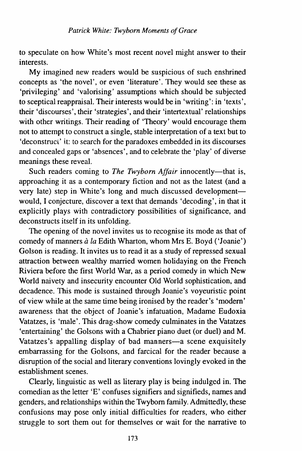to speculate on how White's most recent novel might answer to their interests.

My imagined new readers would be suspicious of such enshrined concepts as 'the novel', or even 'literature'. They would see these as 'privileging' and 'valorising' assumptions which should be subjected to sceptical reappraisal. Their interests would be in 'writing': in 'texts', their 'discourses', their 'strategies', and their 'intertextual' relationships with other writings. Their reading of 'Theory' would encourage them not to attempt to construct a single, stable interpretation of a text but to 'deconstruct' it: to search for the paradoxes embedded in its discourses and concealed gaps or 'absences', and to celebrate the 'play' of diverse meanings these reveal.

Such readers coming to *The Twyborn Affair* innocently--that is, approaching it as a contemporary fiction and not as the latest (and a very late) step in White's long and much discussed developmentwould, I conjecture, discover a text that demands 'decoding', in that it explicitly plays with contradictory possibilities of significance, and deconstructs itself in its unfolding.

The opening of the novel invites us to recognise its mode as that of comedy of manners *à la* Edith Wharton, whom Mrs E. Boyd ('Joanie') Golson is reading. It invites us to read it as a study of repressed sexual attraction between wealthy married women holidaying on the French Riviera before the first World War, as a period comedy in which New World naivety and insecurity encounter Old World sophistication, and decadence. This mode is sustained through Joanie's voyeuristic point of view while at the same time being ironised by the reader's 'modem' awareness that the object of Joanie's infatuation, Madame Eudoxia Vatatzes, is 'male'. This drag-show comedy culminates in the Vatatzes 'entertaining' the Golsons with a Chabrier piano duet (or duel) and M. Vatatzes's appalling display of bad manners-a scene exquisitely embarrassing for the Golsons, and farcical for the reader because a disruption of the social and literary conventions lovingly evoked in the establishment scenes.

Clearly, linguistic as well as literary play is being indulged in. The comedian as the letter 'E' confuses signifiers and signifieds, names and genders, and relationships within the Twybom family. Admittedly, these confusions may pose only initial difficulties for readers, who either struggle to sort them out for themselves or wait for the narrative to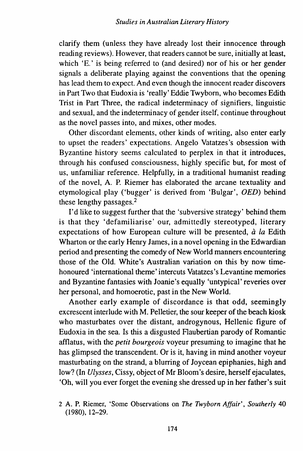clarify them (unless they have already lost their innocence through reading reviews). However, that readers cannot be sure, initially at least, which 'E.' is being referred to (and desired) nor of his or her gender signals a deliberate playing against the conventions that the opening has lead them to expect. And even though the innocent reader discovers in Part Two that Eudoxia is 'really' Eddie Twybom, who becomes Edith Trist in Part Three, the radical indeterminacy of signifiers, linguistic and sexual, and the indeterminacy of gender itself, continue throughout as the novel passes into, and mixes, other modes.

Other discordant elements, other kinds of writing, also enter early to upset the readers' expectations. Angelo Vatatzes's obsession with Byzantine history seems calculated to perplex in that it introduces, through his confused consciousness, highly specific but, for most of us, unfamiliar reference. Helpfully, in a traditional humanist reading of the novel, A. P. Riemer has elaborated the arcane textuality and etymological play ('bugger' is derived from 'Bulgar', OED) behind these lengthy passages.<sup>2</sup>

I'd like to suggest further that the 'subversive strategy' behind them is that they 'defamiliarise' our, admittedly stereotyped, literary expectations of how European culture will be presented,  $\dot{a}$  la Edith Wharton or the early Henry James, in a novel opening in the Edwardian period and presenting the comedy of New World manners encountering those of the Old. White's Australian variation on this by now timehonoured 'international theme' intercuts Vatatzes's Levantine memories and Byzantine fantasies with Joanie's equally 'untypical' reveries over her personal, and homoerotic, past in the New World.

Another early example of discordance is that odd, seemingly excrescent interlude with M. Pelletier, the sour keeper of the beach kiosk who masturbates over the distant, androgynous, Hellenic figure of Eudoxia in the sea. Is this a disgusted Flaubertian parody of Romantic afflatus, with the *petit bourgeois* voyeur presuming to imagine that he has glimpsed the transcendent. Or is it, having in mind another voyeur masturbating on the strand, a blurring of Joycean epiphanies, high and low? (In *Ulysses,* Cissy, object of Mr Bloom's desire, herself ejaculates, 'Oh, will you ever forget the evening she dressed up in her father's suit

<sup>2</sup> A. P. Riemer, 'Some Observations on *The Twyborn Affair', Southerly* 40 (1980), 12-29.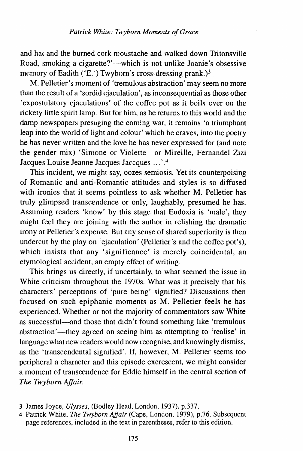and hat and the burned cork moustache and walked down Tritonsville Road, smoking a cigarette?'--which is not unlike Joanie's obsessive memory of Eadith ('E.') Twyborn's cross-dressing prank.)<sup>3</sup>

M. Pelletier's moment of 'tremulous abstraction' may seem no more than the result of a 'sordid ejaculation', as inconsequential as those other 'expostulatory ejaculations' of the coffee pot as it boils over on the rickety little spirit lamp. But for him, as he returns to this world and the damp newspapers presaging the coming war, it remains 'a triumphant leap into the world of light and colour' which he craves, into the poetry he has never written and the love he has never expressed for (and note the gender mix) 'Simone or Violette-or Mireille, Femandel Zizi Jacques Louise Jeanne Jacgues Jaccques ... '.4

This incident, we might say, oozes semiosis. Yet its counterpoising of Romantic and anti-Romantic attitudes and styles is so diffused with ironies that it seems pointless to ask whether M. Pelletier has truly glimpsed transcendence or only, laughably, presumed he has. Assuming readers 'know' by this stage that Eudoxia is 'male', they might feel they are joining with the author in relishing the dramatic irony at Pelletier's expense. But any sense of shared superiority is then undercut by the play on 'ejaculation' (Pelletier's and the coffee pot's), which insists that any 'significance' is merely coincidental, an etymological accident, an empty effect of writing.

This brings us directly, if uncertainly, to what seemed the issue in White criticism throughout the 1970s. What was it precisely that his characters' perceptions of 'pure being' signified? Discussions then focused on such epiphanic moments as M. Pelletier feels he has experienced. Whether or not the majority of commentators saw White as successful-and those that didn't found something like 'tremulous abstraction'—they agreed on seeing him as attempting to 'realise' in language what new readers would now recognise, and knowingly dismiss, as the 'transcendental signified'. If, however, M. Pelletier seems too peripheral a character and this episode excrescent, we might consider a moment of transcendence for Eddie himself in the central section of *The Twyborn Affair.* 

<sup>3</sup> James Joyce, *Ulysses,* (Bodley Head, London, 1937), p.337.

<sup>4</sup> Patrick White, *The Twyborn Affair* (Cape, London, 1979), p.76. Subsequent page references, included in the text in parentheses, refer to this edition.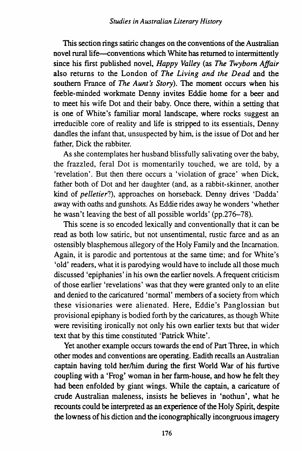This section rings satiric changes on the conventions of the Australian novel rural life—conventions which White has returned to intermittently since his first published novel, *Happy Valley* (as *The Twybom Affair*  also returns to the London of *The Living and the Dead* and the southern France of *The Aunt's Story*). The moment occurs when his feeble-minded workmate Denny invites Eddie home for a beer and to meet his wife Dot and their baby. Once there, within a setting that is one of White's familiar moral landscape, where rocks suggest an irreducible core of reality and life is stripped to its essentials, Denny dandles the infant that, unsuspected by him, is the issue of Dot and her father, Dick the rabbiter.

As she contemplates her husband blissfully salivating over the baby, the frazzled, feral Dot is momentarily touched, we are told, by a 'revelation'. But then there occurs a 'violation of grace' when Dick, father both of Dot and her daughter (and, as a rabbit-skinner, another kind of *pelletier?),* approaches on horseback. Denny drives 'Dadda' away with oaths and gunshots. As Eddie rides away he wonders 'whether he wasn't leaving the best of all possible worlds' (pp.276-78).

This scene is so encoded lexically and conventionally that it can be read as both low satiric, but not unsentimental, rustic farce and as an ostensibly blasphemous allegory of the Holy Family and the Incarnation. Again, it is parodic and portentous at the same time; and for White's 'old' readers, what it is parodying would have to include all those much discussed 'epiphanies' in his own the earlier novels. A frequent criticism of those earlier 'revelations' was that they were granted only to an elite and denied to the caricatured 'normal' members of a society from which these visionaries were alienated. Here, Eddie's Panglossian but provisional epiphany is bodied forth by the caricatures, as though White were revisiting ironically not only his own earlier texts but that wider text that by this time constituted 'Patrick White'.

Yet another example occurs towards the end of Part Three, in which other modes and conventions are operating. Eadith recalls an Australian captain having told her/him during the first World War of his furtive coupling with a 'Frog' woman in her farm-house, and how he felt they had been enfolded by giant wings. While the captain, a caricature of crude Australian maleness, insists he believes in 'nothun', what he recounts could be interpreted as an experience of the Holy Spirit, despite the lowness of his diction and the iconographically incongruous imagery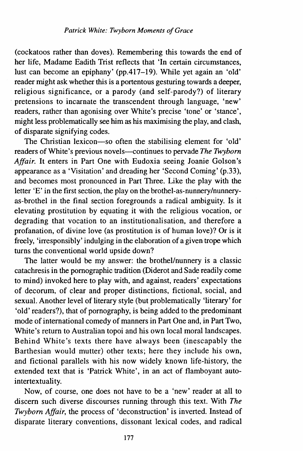(cockatoos rather than doves). Remembering this towards the end of her life, Madame Eadith Trist reflects that 'In certain circumstances, lust can become an epiphany' (pp.417-19). While yet again an 'old' reader might ask whether this is a portentous gesturing towards a deeper, religious significance, or a parody (and self-parody?) of literary pretensions to incarnate the transcendent through language, 'new' readers, rather than agonising over White's precise 'tone' or 'stance', might less problematically see him as his maximising the play, and clash, of disparate signifying codes.

The Christian lexicon-so often the stabilising element for 'old' readers of White's previous novels-continues to pervade *The Twybom Affair.* It enters in Part One with Eudoxia seeing Joanie Golson's appearance as a 'Visitation' and dreading her 'Second Coming' (p.33), and becomes most pronounced in Part Three. Like the play with the letter 'E' in the first section, the play on the brothel-as-nunnery/nunneryas-brothel in the final section foregrounds a radical ambiguity. Is it elevating prostitution by equating it with the religious vocation, or degrading that vocation to an institutionalisation, and therefore a profanation, of divine love (as prostitution is of human love)? Or is it freely, 'irresponsibly' indulging in the elaboration of a given trope which turns the conventional world upside down?

The latter would be my answer: the brothel/nunnery is a classic catachresis in the pornographic tradition (Diderot and Sade readily come to mind) invoked here to play with, and against, readers' expectations of decorum, of clear and proper distinctions, fictional, social, and sexual. Another level of literary style (but problematically 'literary' for 'old' readers?), that of pornography, is being added to the predominant mode of international comedy of manners in Part One and, in Part Two, White's return to Australian topoi and his own local moral landscapes. Behind White's texts there have always been (inescapably the Barthesian would mutter) other texts; here they include his own, and fictional parallels with his now widely known life-history, the extended text that is 'Patrick White', in an act of flamboyant autointertextuality.

Now, of course, one does not have to be a 'new' reader at all to discern such diverse discourses running through this text. With *The Twybom Affair,* the process of 'deconstruction' is inverted. Instead of disparate literary conventions, dissonant lexical codes, and radical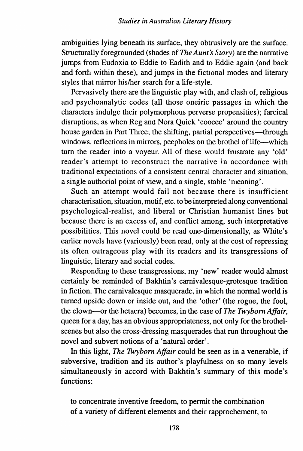ambiguities lying beneath its surface, they obtrusively are the surface. Structurally foregrounded (shades of *The Aunt's Story*) are the narrative jumps from Eudoxia to Eddie to Eadith and to Eddie again (and back and forth within these), and jumps in the fictional modes and literary styles that mirror his/her search for a life-style.

Pervasively there are the linguistic play with, and clash of, religious and psychoanalytic codes (all those oneiric passages in which the characters indulge their polymorphous perverse propensities); farcical disruptions, as when Reg and Nora Quick 'cooeee' around the country house garden in Part Three; the shifting, partial perspectives—through windows, reflections in mirrors, peepholes on the brothel of life-which turn the reader into a voyeur. All of these would frustrate any 'old' reader's attempt to reconstruct the narrative in accordance with traditional expectations of a consistent central character and situation, a single authorial point of view, and a single, stable 'meaning'.

Such an attempt would fail not because there is insufficient characterisation, situation, motif, etc. to be interpreted along conventional psychological-realist, and liberal or Christian humanist lines but because there is an excess of, and conflict among, such interpretative possibilities. This novel could be read one-dimensionally, as White's earlier novels have (variously) been read, only at the cost of repressing its often outrageous play with its readers and its transgressions of linguistic, literary and social codes.

Responding to these transgressions, my 'new' reader would almost certainly be reminded of Bakhtin's carnivalesque-grotesque tradition in fiction. The carnivalesque masquerade, in which the normal world is turned upside down or inside out, and the 'other' (the rogue, the fool, the clown-or the hetaera) becomes, in the case of *The Twyborn Affair,*  queen for a day, has an obvious appropriateness, not only for the brothelscenes but also the cross-dressing masquerades that run throughout the novel and subvert notions of a 'natural order'.

In this light, *The Twyborn Affair* could be seen as in a venerable, if subversive, tradition and its author's playfulness on so many levels simultaneously in accord with Bakhtin's summary of this mode's functions:

to concentrate inventive freedom, to permit the combination of a variety of different elements and their rapprochement, to